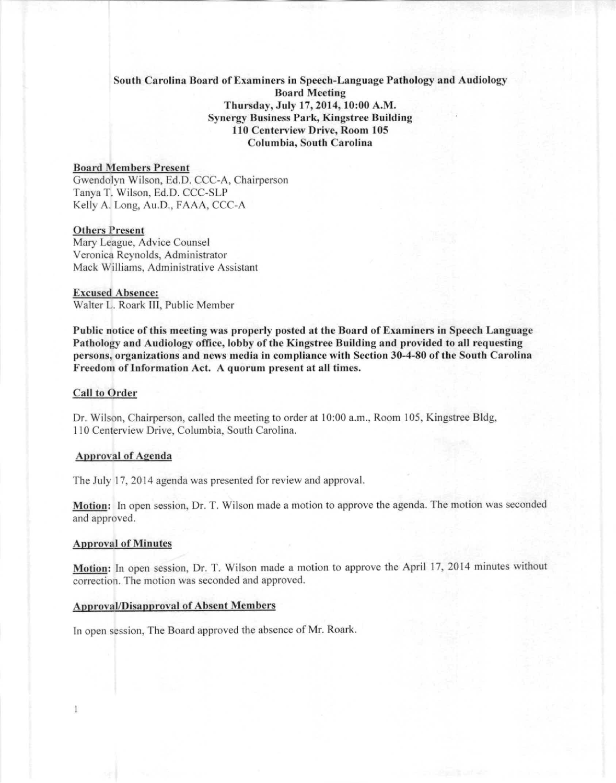# Soulh Carolina Board of Examincrs in Spccch-Languagc Pathology and Audiology **Board Meeting** Thursday, July 17,2014,10:00 A.M. Synergy Business Park, Kingstree Building 110 Centerview Drive, Room 105 Columbia, South Carolina

# **Board Members Present**

Gwendolyn Wilson, Ed.D. CCC-A, Chairperson Tanya T. Wilson, Ed.D. CCC-SLP Kelly A. Long, Au.D., FAAA, CCC-A

### **Others Present**

Mary League, Advice Counsel Veronica Reynolds, Administrator Mack Williams, Administrative Assistant

# **Excused Absence:**

Walter L. Roark III, Public Member

Public notice of this meeting was properly posted at the Board of Examiners in Speech Language Pathology and Audiology office, lobby of the Kingstree Building and provided to all requesting persons, organizations and news media in compliance with Section 30-4-80 of the South Carolina Freedom of Information Act. A quorum present at all times.

# **Call to Order**

Dr. Wilson, Chairperson, called the meeting to order at 10:00 a.m., Room 105, Kingstree Bldg, 110 Centerview Drive, Columbia, South Carolina,

### **Approval of Agenda**

The July 17, 2014 agenda was presented for review and approval.

Motion: In open session, Dr. T. Wilson made a motion to approve the agenda. The motion was seconded and approved.

#### Approval of Minutcs

Motion: In open session, Dr. T. Wilson made a motion to approve the April 17, 2014 minutes without correction. The motion was seconded and approved,

#### **Apnroval/Disapproval of Absent l\lcmhcrs**

In open session, The Board approved the absence of Mr. Roark,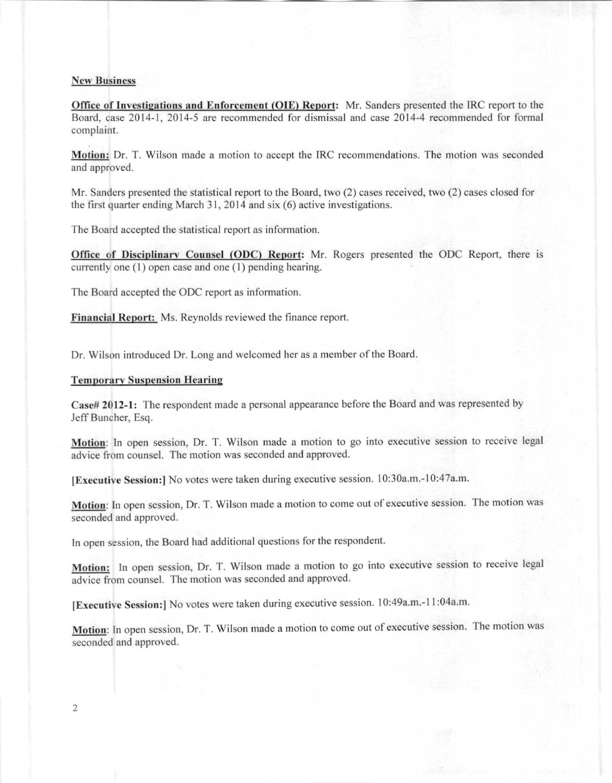#### **New Business**

Office of Investigations and Enforcement (OIE) Report: Mr. Sanders presented the IRC report to the Board, case 2014-1, 2014-5 arc recommended for dismissal and case 2014-4 recommended for formal complaint.

Motion: Dr. T. Wilson made a motion to accept the IRC recommendations. The motion was seconded and approved.

Mr. Sanders presented the statistical report to the Board, two (2) cases received, two (2) cases closed for the first quarter ending March 31, 2014 and six (6) active investigations.

The Board accepted the statistical report as information.

Office of Disciplinary Counsel (ODC) Report: Mr. Rogers presented the ODC Report, there is currently one (I) open casc and one (I) pending hearing.

The Board accepted the ODC report as information.

Financial Report: Ms. Reynolds reviewed the finance report.

Dr. Wilson introduced Dr. Long and welcomed her as a member of the Board.

# **Temporary Suspension Hearing**

Case# 2012-1: The respondent made a personal appearance before the Board and was represented by Jeff Buncher, Esq.

Motion: In open session, Dr. T. Wilson made a motion to go into executive session to receive legal advice from counsel. The motion was seconded and approved.

[Executive Session:] No votes were taken during executive session. 10:30a.m.-10:47a.m.

Motion: In open session, Dr. T. Wilson made a motion to come out of executive session. The motion was seconded and approved.

In open session, the Board had additional questions for the respondent.

Motion: In open session, Dr. T. Wilson made a motion to go into executive session to receive legal advice from counsel. The motion was seconded and approved.

IExecutive Scssion:] No votes were taken during executive session. 10:49a.m.-11 :04a.m.

Motion: In open session, Dr. T. Wilson made a motion to come out of executive session. The motion was seconded and approved.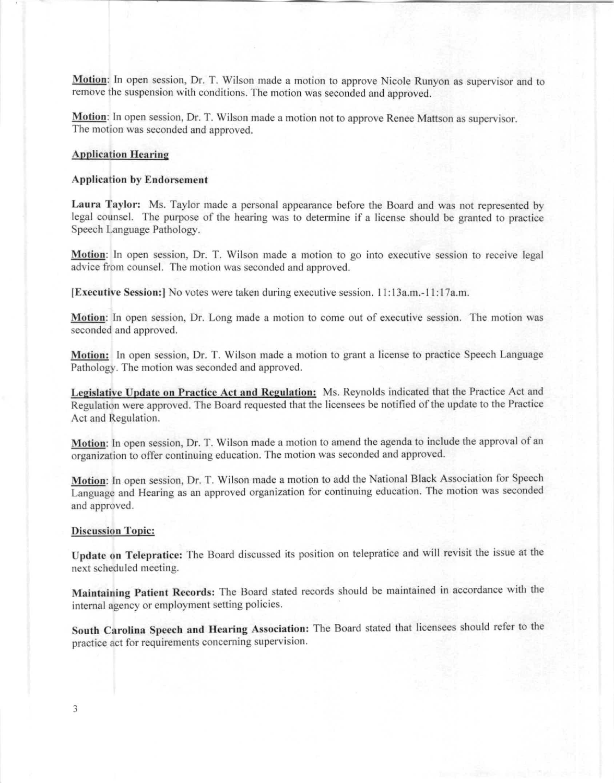**Motion**: In open session, Dr. T. Wilson made a motion to approve Nicole Runyon as supervisor and to remove the suspension with conditions. The motion was seconded and approved.

Motion: In open session, Dr. T. Wilson made a motion not to approve Renee Mattson as supervisor. The motion was seconded and approved.

# Application Hearing

# **Application by Endorsement**

Laura Taylor: Ms. Taylor made a personal appearance before the Board and was not represented by legal counsel. The purpose of the hearing was to determine if a license should be granted to practice Speech Language Pathology.

Motion: In open session, Dr. T. Wilson made a motion to go into executive session to receive legal advice from counsel. The motion was seconded and approved.

**IExecutive Session: I**No votes were taken during executive session. 11:13a.m.-11:17a.m.

Motion: In open session, Dr. Long made a motion to come out of executive session. The motion was seconded and approved.

Motion: In open session, Dr. T. Wilson made a motion to grant a license to practice Speech Language Pathology. The motion was seconded and approved.

Legislative Update on Practice Act and Regulation: Ms. Reynolds indicated that the Practice Act and Regulation were approved. The Board requested that the licensees be notified of the update to the Practice Act and Regulation.

Motion: In open session, Dr. T. Wilson made a motion to amend the agenda to include the approval of an organization to offer continuing education. The motion was seconded and approved.

Motion: In open session, Dr. T. Wilson made a motion to add the National Black Association for Speech Language and Hearing as an approved organization for continuing education. The motion was seconded and approved.

#### **Discussion Topic:**

Update on Telepratice: The Board discussed its position on telepratice and will revisit the issue at the next scheduled meeting.

Maintaining Patient Records: The Board stated records should be maintained in accordance with the internal agency or employment setting policies.

South Carolina Speech and Hearing Association: The Board stated that licensees should refer to the practice act for requirements concerning supervision.